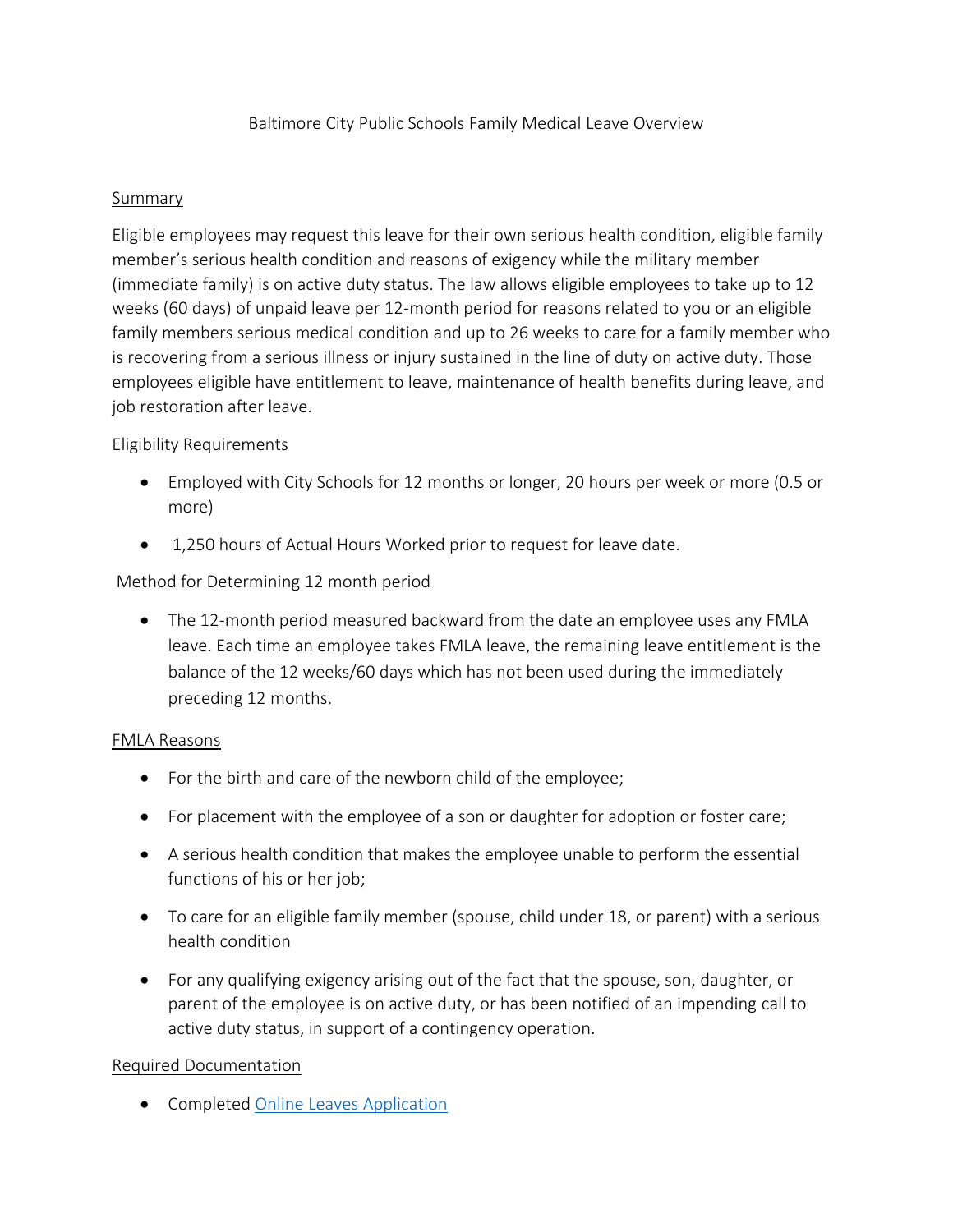#### **Summary**

Eligible employees may request this leave for their own serious health condition, eligible family member's serious health condition and reasons of exigency while the military member (immediate family) is on active duty status. The law allows eligible employees to take up to 12 weeks (60 days) of unpaid leave per 12-month period for reasons related to you or an eligible family members serious medical condition and up to 26 weeks to care for a family member who is recovering from a serious illness or injury sustained in the line of duty on active duty. Those employees eligible have entitlement to leave, maintenance of health benefits during leave, and job restoration after leave.

#### Eligibility Requirements

- Employed with City Schools for 12 months or longer, 20 hours per week or more (0.5 or more)
- 1,250 hours of Actual Hours Worked prior to request for leave date.

### Method for Determining 12 month period

• The 12-month period measured backward from the date an employee uses any FMLA leave. Each time an employee takes FMLA leave, the remaining leave entitlement is the balance of the 12 weeks/60 days which has not been used during the immediately preceding 12 months.

#### FMLA Reasons

- For the birth and care of the newborn child of the employee;
- For placement with the employee of a son or daughter for adoption or foster care;
- A serious health condition that makes the employee unable to perform the essential functions of his or her job;
- To care for an eligible family member (spouse, child under 18, or parent) with a serious health condition
- For any qualifying exigency arising out of the fact that the spouse, son, daughter, or parent of the employee is on active duty, or has been notified of an impending call to active duty status, in support of a contingency operation.

### Required Documentation

• Completed [Online Leaves Application](https://forms.office.com/Pages/ResponsePage.aspx?id=9LJbBuNvT0GpEPKIYwXIFBnhxb7D_0RFuekVM8XY2ktUNjVHUTQxREFHNVZCVVlQRFdRNDRaNEJSMSQlQCN0PWcu)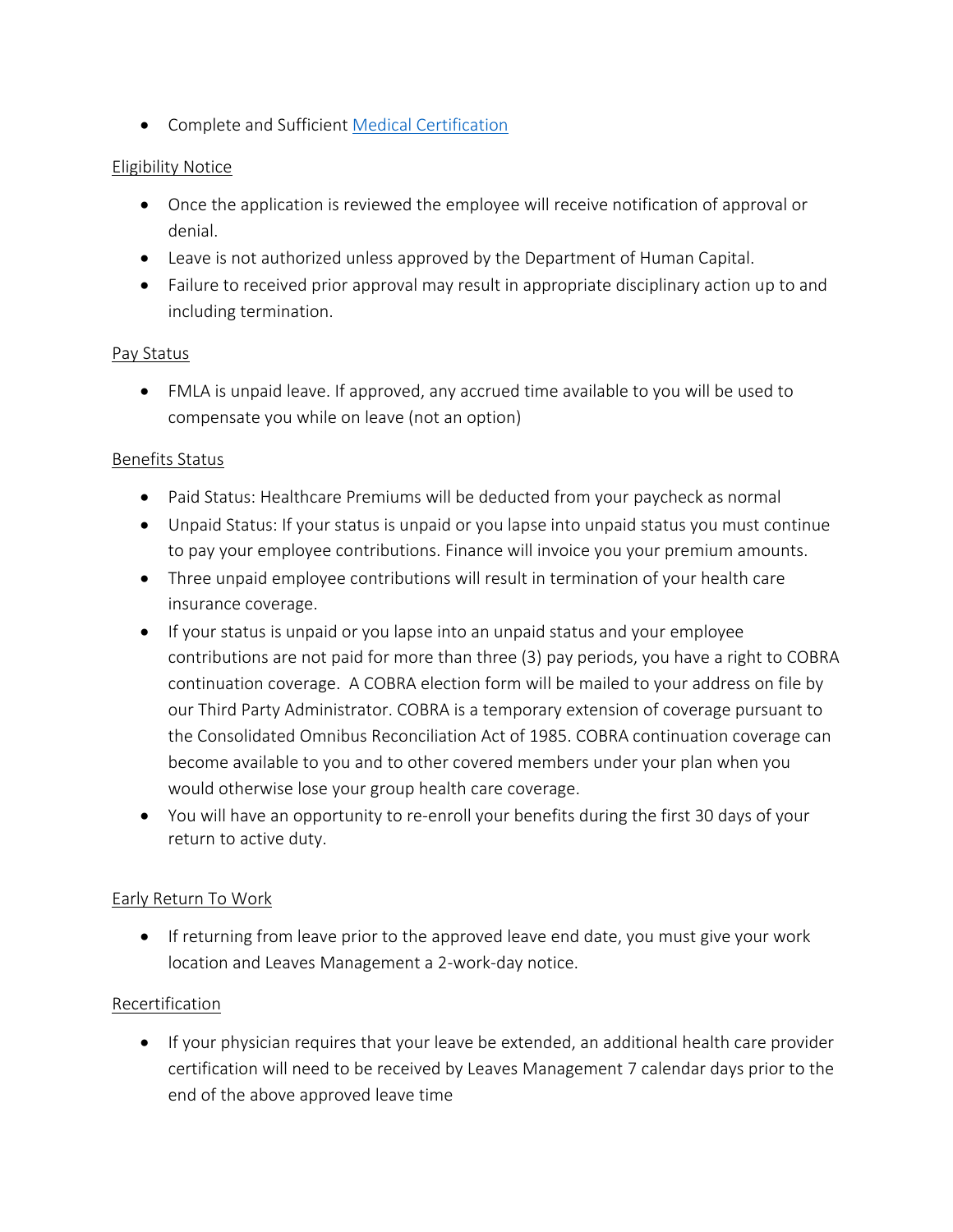• Complete and Sufficient [Medical Certification](https://www.baltimorecityschools.org/sites/default/files/2020-08/CERTIFICATION-FAMILY-MEDICAL-LEAVE.pdf)

## Eligibility Notice

- Once the application is reviewed the employee will receive notification of approval or denial.
- Leave is not authorized unless approved by the Department of Human Capital.
- Failure to received prior approval may result in appropriate disciplinary action up to and including termination.

### Pay Status

• FMLA is unpaid leave. If approved, any accrued time available to you will be used to compensate you while on leave (not an option)

## Benefits Status

- Paid Status: Healthcare Premiums will be deducted from your paycheck as normal
- Unpaid Status: If your status is unpaid or you lapse into unpaid status you must continue to pay your employee contributions. Finance will invoice you your premium amounts.
- Three unpaid employee contributions will result in termination of your health care insurance coverage.
- If your status is unpaid or you lapse into an unpaid status and your employee contributions are not paid for more than three (3) pay periods, you have a right to COBRA continuation coverage. A COBRA election form will be mailed to your address on file by our Third Party Administrator. COBRA is a temporary extension of coverage pursuant to the Consolidated Omnibus Reconciliation Act of 1985. COBRA continuation coverage can become available to you and to other covered members under your plan when you would otherwise lose your group health care coverage.
- You will have an opportunity to re-enroll your benefits during the first 30 days of your return to active duty.

# Early Return To Work

• If returning from leave prior to the approved leave end date, you must give your work location and Leaves Management a 2-work-day notice.

### Recertification

• If your physician requires that your leave be extended, an additional health care provider certification will need to be received by Leaves Management 7 calendar days prior to the end of the above approved leave time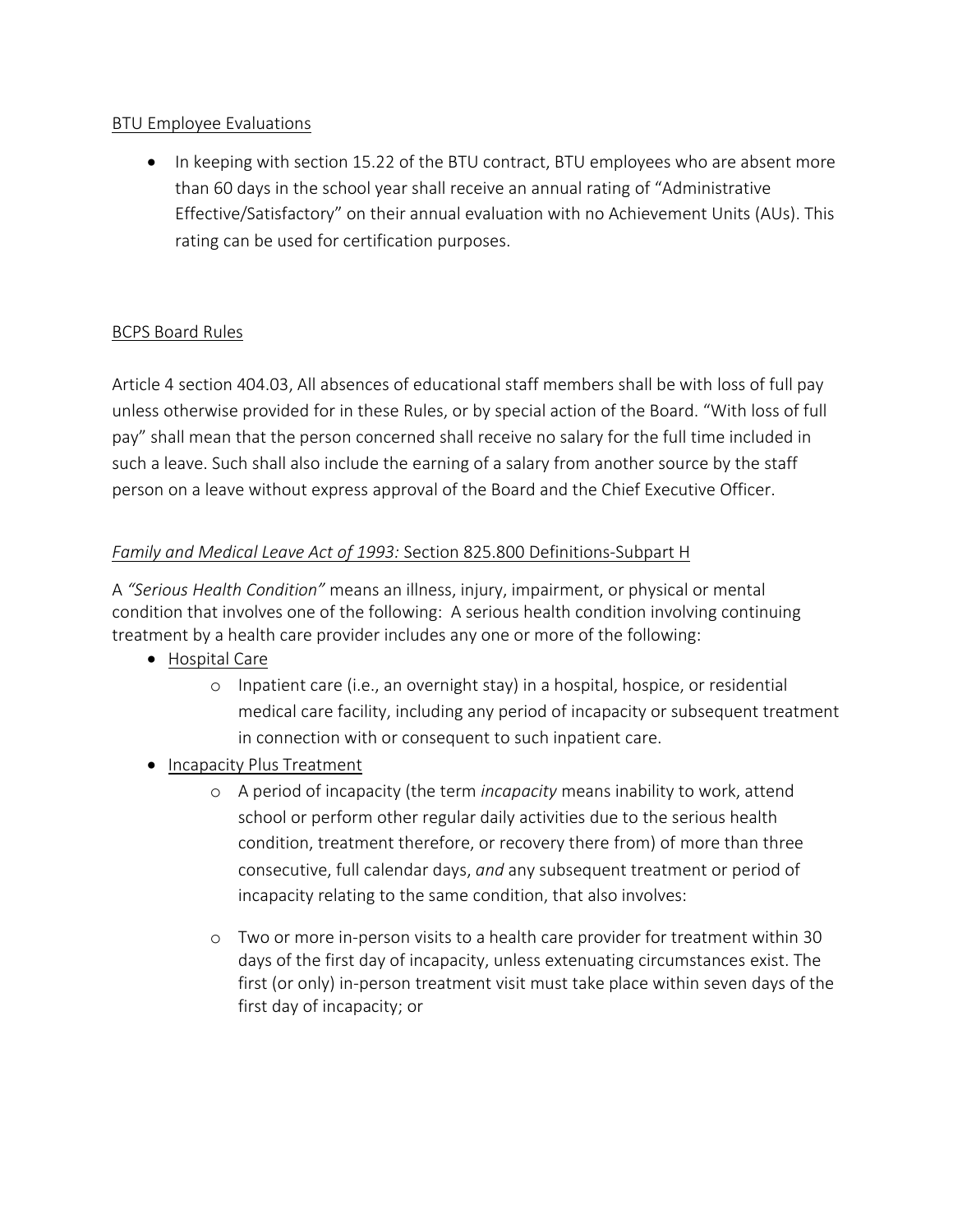## BTU Employee Evaluations

• In keeping with section 15.22 of the BTU contract, BTU employees who are absent more than 60 days in the school year shall receive an annual rating of "Administrative Effective/Satisfactory" on their annual evaluation with no Achievement Units (AUs). This rating can be used for certification purposes.

# BCPS Board Rules

Article 4 section 404.03, All absences of educational staff members shall be with loss of full pay unless otherwise provided for in these Rules, or by special action of the Board. "With loss of full pay" shall mean that the person concerned shall receive no salary for the full time included in such a leave. Such shall also include the earning of a salary from another source by the staff person on a leave without express approval of the Board and the Chief Executive Officer.

## *Family and Medical Leave Act of 1993:* Section 825.800 Definitions-Subpart H

A *"Serious Health Condition"* means an illness, injury, impairment, or physical or mental condition that involves one of the following: A serious health condition involving continuing treatment by a health care provider includes any one or more of the following:

- Hospital Care
	- o Inpatient care (i.e., an overnight stay) in a hospital, hospice, or residential medical care facility, including any period of incapacity or subsequent treatment in connection with or consequent to such inpatient care.
- Incapacity Plus Treatment
	- o A period of incapacity (the term *incapacity* means inability to work, attend school or perform other regular daily activities due to the serious health condition, treatment therefore, or recovery there from) of more than three consecutive, full calendar days, *and* any subsequent treatment or period of incapacity relating to the same condition, that also involves:
	- o Two or more in-person visits to a health care provider for treatment within 30 days of the first day of incapacity, unless extenuating circumstances exist. The first (or only) in-person treatment visit must take place within seven days of the first day of incapacity; or